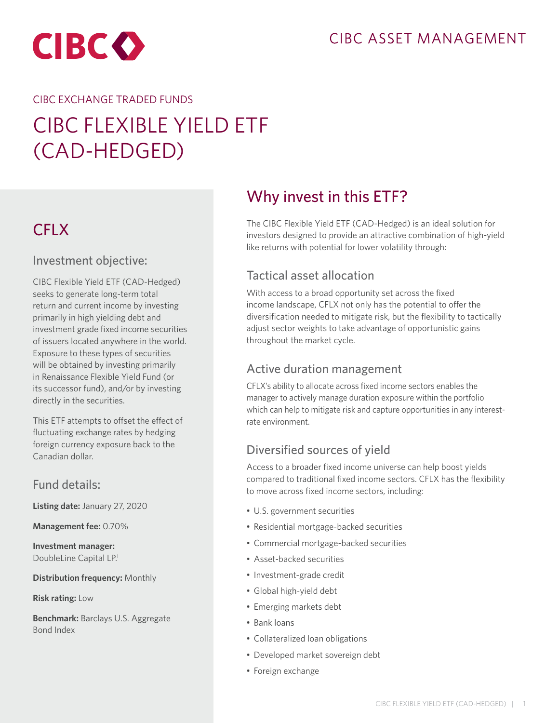## CIBC ASSET MANAGEMENT



#### CIBC EXCHANGE TRADED FUNDS

# CIBC FLEXIBLE YIELD ETF (CAD-HEDGED)

## **CFLX**

### Investment objective:

CIBC Flexible Yield ETF (CAD-Hedged) seeks to generate long-term total return and current income by investing primarily in high yielding debt and investment grade fixed income securities of issuers located anywhere in the world. Exposure to these types of securities will be obtained by investing primarily in Renaissance Flexible Yield Fund (or its successor fund), and/or by investing directly in the securities.

This ETF attempts to offset the effect of fluctuating exchange rates by hedging foreign currency exposure back to the Canadian dollar.

### Fund details:

**Listing date:** January 27, 2020

**Management fee:** 0.70%

**Investment manager:**  DoubleLine Capital LP.<sup>1</sup>

**Distribution frequency:** Monthly

**Risk rating:** Low

**Benchmark:** Barclays U.S. Aggregate Bond Index

## Why invest in this ETF?

The CIBC Flexible Yield ETF (CAD-Hedged) is an ideal solution for investors designed to provide an attractive combination of high-yield like returns with potential for lower volatility through:

## Tactical asset allocation

With access to a broad opportunity set across the fixed income landscape, CFLX not only has the potential to offer the diversification needed to mitigate risk, but the flexibility to tactically adjust sector weights to take advantage of opportunistic gains throughout the market cycle.

### Active duration management

CFLX's ability to allocate across fixed income sectors enables the manager to actively manage duration exposure within the portfolio which can help to mitigate risk and capture opportunities in any interestrate environment.

## Diversified sources of yield

Access to a broader fixed income universe can help boost yields compared to traditional fixed income sectors. CFLX has the flexibility to move across fixed income sectors, including:

- U.S. government securities
- Residential mortgage-backed securities
- Commercial mortgage-backed securities
- Asset-backed securities
- Investment-grade credit
- Global high-yield debt
- Emerging markets debt
- Bank loans
- Collateralized loan obligations
- Developed market sovereign debt
- Foreign exchange